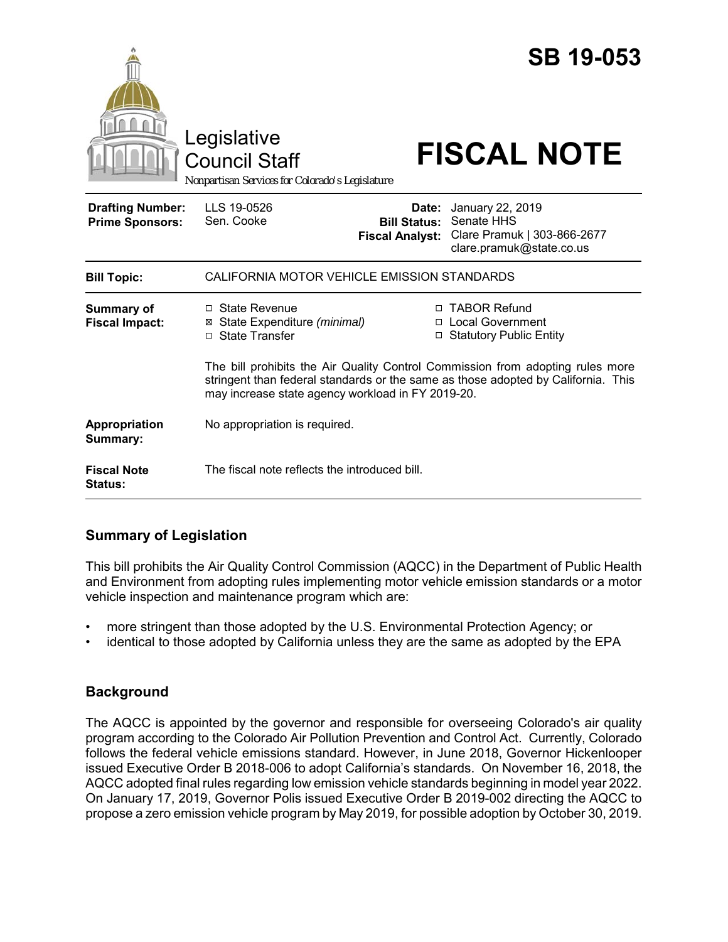|                                                   | Legislative<br><b>Council Staff</b><br>Nonpartisan Services for Colorado's Legislature                                                                                                                                   |                                                        | <b>SB 19-053</b><br><b>FISCAL NOTE</b>                                                    |  |
|---------------------------------------------------|--------------------------------------------------------------------------------------------------------------------------------------------------------------------------------------------------------------------------|--------------------------------------------------------|-------------------------------------------------------------------------------------------|--|
| <b>Drafting Number:</b><br><b>Prime Sponsors:</b> | LLS 19-0526<br>Sen. Cooke                                                                                                                                                                                                | Date:<br><b>Bill Status:</b><br><b>Fiscal Analyst:</b> | January 22, 2019<br>Senate HHS<br>Clare Pramuk   303-866-2677<br>clare.pramuk@state.co.us |  |
| <b>Bill Topic:</b>                                | CALIFORNIA MOTOR VEHICLE EMISSION STANDARDS                                                                                                                                                                              |                                                        |                                                                                           |  |
| <b>Summary of</b><br><b>Fiscal Impact:</b>        | $\Box$ State Revenue<br>State Expenditure (minimal)<br>⊠<br>□ State Transfer                                                                                                                                             |                                                        | □ TABOR Refund<br>□ Local Government<br>□ Statutory Public Entity                         |  |
|                                                   | The bill prohibits the Air Quality Control Commission from adopting rules more<br>stringent than federal standards or the same as those adopted by California. This<br>may increase state agency workload in FY 2019-20. |                                                        |                                                                                           |  |
| Appropriation<br>Summary:                         | No appropriation is required.                                                                                                                                                                                            |                                                        |                                                                                           |  |
| <b>Fiscal Note</b><br>Status:                     | The fiscal note reflects the introduced bill.                                                                                                                                                                            |                                                        |                                                                                           |  |

# **Summary of Legislation**

This bill prohibits the Air Quality Control Commission (AQCC) in the Department of Public Health and Environment from adopting rules implementing motor vehicle emission standards or a motor vehicle inspection and maintenance program which are:

- more stringent than those adopted by the U.S. Environmental Protection Agency; or
- identical to those adopted by California unless they are the same as adopted by the EPA

# **Background**

The AQCC is appointed by the governor and responsible for overseeing Colorado's air quality program according to the Colorado Air Pollution Prevention and Control Act. Currently, Colorado follows the federal vehicle emissions standard. However, in June 2018, Governor Hickenlooper issued Executive Order B 2018-006 to adopt California's standards. On November 16, 2018, the AQCC adopted final rules regarding low emission vehicle standards beginning in model year 2022. On January 17, 2019, Governor Polis issued Executive Order B 2019-002 directing the AQCC to propose a zero emission vehicle program by May 2019, for possible adoption by October 30, 2019.